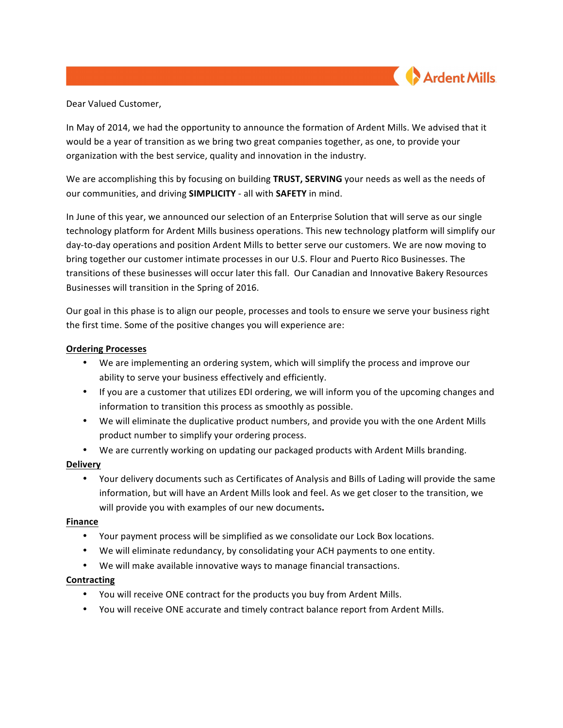

## Dear Valued Customer,

In May of 2014, we had the opportunity to announce the formation of Ardent Mills. We advised that it would be a year of transition as we bring two great companies together, as one, to provide your organization with the best service, quality and innovation in the industry.

We are accomplishing this by focusing on building **TRUST, SERVING** your needs as well as the needs of our communities, and driving **SIMPLICITY** - all with **SAFETY** in mind.

In June of this year, we announced our selection of an Enterprise Solution that will serve as our single technology platform for Ardent Mills business operations. This new technology platform will simplify our day-to-day operations and position Ardent Mills to better serve our customers. We are now moving to bring together our customer intimate processes in our U.S. Flour and Puerto Rico Businesses. The transitions of these businesses will occur later this fall. Our Canadian and Innovative Bakery Resources Businesses will transition in the Spring of 2016.

Our goal in this phase is to align our people, processes and tools to ensure we serve your business right the first time. Some of the positive changes you will experience are:

## **Ordering Processes**

- We are implementing an ordering system, which will simplify the process and improve our ability to serve your business effectively and efficiently.
- If you are a customer that utilizes EDI ordering, we will inform you of the upcoming changes and information to transition this process as smoothly as possible.
- We will eliminate the duplicative product numbers, and provide you with the one Ardent Mills product number to simplify your ordering process.
- We are currently working on updating our packaged products with Ardent Mills branding.

# **Delivery**

• Your delivery documents such as Certificates of Analysis and Bills of Lading will provide the same information, but will have an Ardent Mills look and feel. As we get closer to the transition, we will provide you with examples of our new documents.

# **Finance**

- Your payment process will be simplified as we consolidate our Lock Box locations.
- We will eliminate redundancy, by consolidating your ACH payments to one entity.
- We will make available innovative ways to manage financial transactions.

# **Contracting**

- You will receive ONE contract for the products you buy from Ardent Mills.
- You will receive ONE accurate and timely contract balance report from Ardent Mills.